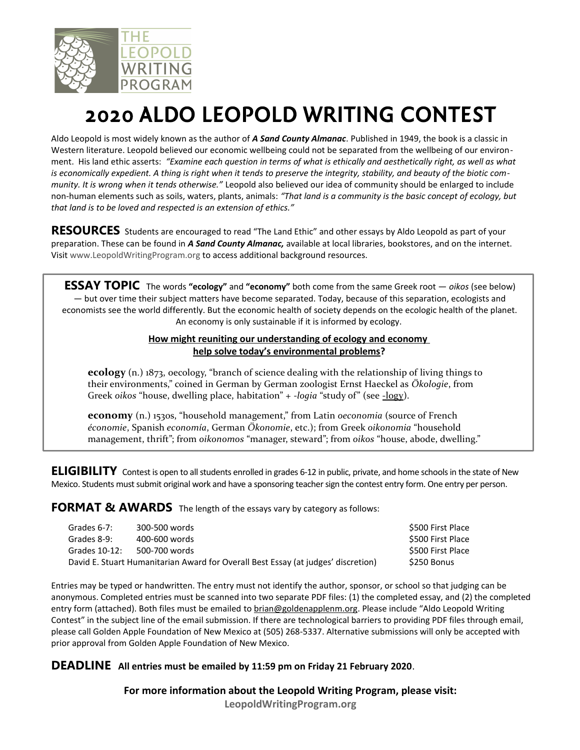

## 2020 ALDO LEOPOLD WRITING CONTEST

Aldo Leopold is most widely known as the author of *A Sand County Almanac*. Published in 1949, the book is a classic in Western literature. Leopold believed our economic wellbeing could not be separated from the wellbeing of our environment. His land ethic asserts: *"Examine each question in terms of what is ethically and aesthetically right, as well as what is economically expedient. A thing is right when it tends to preserve the integrity, stability, and beauty of the biotic community. It is wrong when it tends otherwise."* Leopold also believed our idea of community should be enlarged to include non-human elements such as soils, waters, plants, animals: *"That land is a community is the basic concept of ecology, but that land is to be loved and respected is an extension of ethics."* 

RESOURCES Students are encouraged to read "The Land Ethic" and other essays by Aldo Leopold as part of your preparation. These can be found in *A Sand County Almanac,* available at local libraries, bookstores, and on the internet. Visit [www.LeopoldWritingProgram.org](http://www.LeopoldWritingProgram.org/) to access additional background resources.

**ESSAY TOPIC** The words **"ecology"** and **"economy"** both come from the same Greek root — *oikos* (see below) — but over time their subject matters have become separated. Today, because of this separation, ecologists and economists see the world differently. But the economic health of society depends on the ecologic health of the planet. An economy is only sustainable if it is informed by ecology.

## **How might reuniting our understanding of ecology and economy help solve today's environmental problems?**

**ecology** (n.) 1873, oecology, "branch of science dealing with the relationship of living things to their environments," coined in German by German zoologist Ernst Haeckel as *Ökologie*, from Greek oikos "house, dwelling place, habitation" + *-logia* "study of" (see -logy).

**economy** (n.) 1530s, "household management," from Latin *oeconomia* (source of French *économie*, Spanish *economía*, German *Ökonomie*, etc.); from Greek *oikonomia* "household management, thrift"; from *oikonomos* "manager, steward"; from *oikos* "house, abode, dwelling."

**ELIGIBILITY** Contest is open to all students enrolled in grades 6-12 in public, private, and home schools in the state of New Mexico. Students must submit original work and have a sponsoring teacher sign the contest entry form. One entry per person.

**FORMAT & AWARDS** The length of the essays vary by category as follows:

| Grades 6-7:   | 300-500 words                                                                     | \$500 First Place |
|---------------|-----------------------------------------------------------------------------------|-------------------|
| Grades 8-9:   | 400-600 words                                                                     | \$500 First Place |
| Grades 10-12: | 500-700 words                                                                     | S500 First Place  |
|               | David E. Stuart Humanitarian Award for Overall Best Essay (at judges' discretion) | S250 Bonus        |

Entries may be typed or handwritten. The entry must not identify the author, sponsor, or school so that judging can be anonymous. Completed entries must be scanned into two separate PDF files: (1) the completed essay, and (2) the completed entry form (attached). Both files must be emailed to [brian@goldenapplenm.org.](mailto:brian@goldenapplenm.org) Please include "Aldo Leopold Writing Contest" in the subject line of the email submission. If there are technological barriers to providing PDF files through email, please call Golden Apple Foundation of New Mexico at (505) 268-5337. Alternative submissions will only be accepted with prior approval from Golden Apple Foundation of New Mexico.

## **DEADLINE All entries must be emailed by 11:59 pm on Friday 21 February 2020**.

**For more information about the Leopold Writing Program, please visit:**

**[LeopoldWritingProgram.org](https://www.leopoldwritingprogram.org/)**